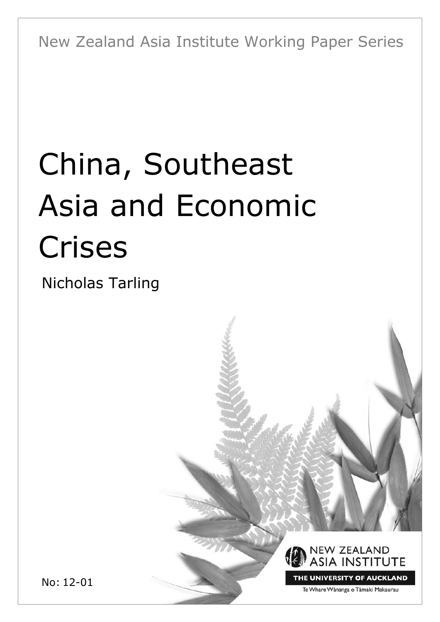New Zealand Asia Institute Working Paper Series

# China, Southeast Asia and Economic **Crises**

Nicholas Tarling



THE UNIVERSITY OF AUCKLAND

Te Whare Wānanga o Tāmaki Makaurau

No: 12-01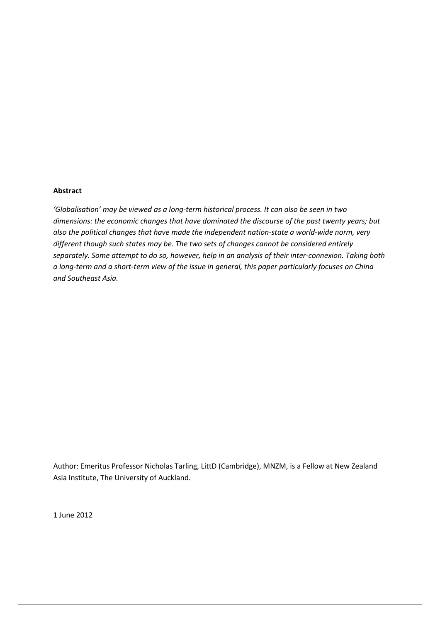# **Abstract**

*'Globalisation' may be viewed as a long-term historical process. It can also be seen in two dimensions: the economic changes that have dominated the discourse of the past twenty years; but also the political changes that have made the independent nation-state a world-wide norm, very different though such states may be. The two sets of changes cannot be considered entirely separately. Some attempt to do so, however, help in an analysis of their inter-connexion. Taking both a long-term and a short-term view of the issue in general, this paper particularly focuses on China and Southeast Asia.* 

Author: Emeritus Professor Nicholas Tarling, LittD (Cambridge), MNZM, is a Fellow at New Zealand Asia Institute, The University of Auckland.

1 June 2012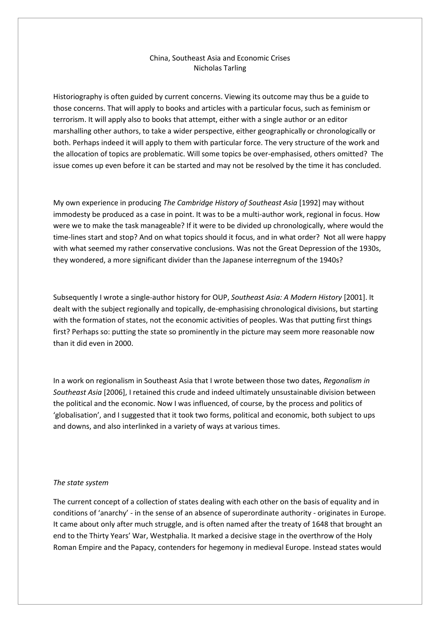# China, Southeast Asia and Economic Crises Nicholas Tarling

Historiography is often guided by current concerns. Viewing its outcome may thus be a guide to those concerns. That will apply to books and articles with a particular focus, such as feminism or terrorism. It will apply also to books that attempt, either with a single author or an editor marshalling other authors, to take a wider perspective, either geographically or chronologically or both. Perhaps indeed it will apply to them with particular force. The very structure of the work and the allocation of topics are problematic. Will some topics be over-emphasised, others omitted? The issue comes up even before it can be started and may not be resolved by the time it has concluded.

My own experience in producing *The Cambridge History of Southeast Asia* [1992] may without immodesty be produced as a case in point. It was to be a multi-author work, regional in focus. How were we to make the task manageable? If it were to be divided up chronologically, where would the time-lines start and stop? And on what topics should it focus, and in what order? Not all were happy with what seemed my rather conservative conclusions. Was not the Great Depression of the 1930s, they wondered, a more significant divider than the Japanese interregnum of the 1940s?

Subsequently I wrote a single-author history for OUP, *Southeast Asia: A Modern History* [2001]. It dealt with the subject regionally and topically, de-emphasising chronological divisions, but starting with the formation of states, not the economic activities of peoples. Was that putting first things first? Perhaps so: putting the state so prominently in the picture may seem more reasonable now than it did even in 2000.

In a work on regionalism in Southeast Asia that I wrote between those two dates, *Regonalism in Southeast Asia* [2006], I retained this crude and indeed ultimately unsustainable division between the political and the economic. Now I was influenced, of course, by the process and politics of 'globalisation', and I suggested that it took two forms, political and economic, both subject to ups and downs, and also interlinked in a variety of ways at various times.

## *The state system*

The current concept of a collection of states dealing with each other on the basis of equality and in conditions of 'anarchy' - in the sense of an absence of superordinate authority - originates in Europe. It came about only after much struggle, and is often named after the treaty of 1648 that brought an end to the Thirty Years' War, Westphalia. It marked a decisive stage in the overthrow of the Holy Roman Empire and the Papacy, contenders for hegemony in medieval Europe. Instead states would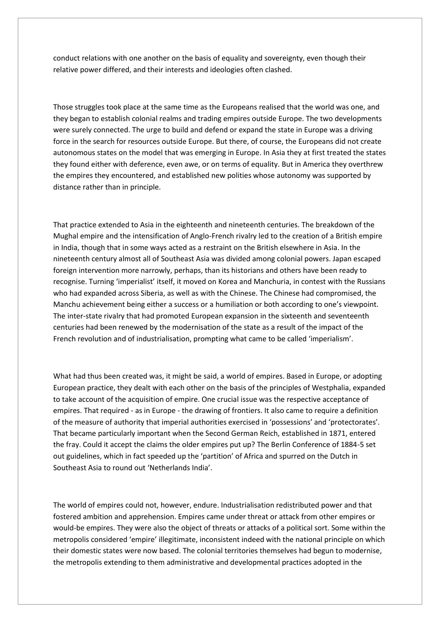conduct relations with one another on the basis of equality and sovereignty, even though their relative power differed, and their interests and ideologies often clashed.

Those struggles took place at the same time as the Europeans realised that the world was one, and they began to establish colonial realms and trading empires outside Europe. The two developments were surely connected. The urge to build and defend or expand the state in Europe was a driving force in the search for resources outside Europe. But there, of course, the Europeans did not create autonomous states on the model that was emerging in Europe. In Asia they at first treated the states they found either with deference, even awe, or on terms of equality. But in America they overthrew the empires they encountered, and established new polities whose autonomy was supported by distance rather than in principle.

That practice extended to Asia in the eighteenth and nineteenth centuries. The breakdown of the Mughal empire and the intensification of Anglo-French rivalry led to the creation of a British empire in India, though that in some ways acted as a restraint on the British elsewhere in Asia. In the nineteenth century almost all of Southeast Asia was divided among colonial powers. Japan escaped foreign intervention more narrowly, perhaps, than its historians and others have been ready to recognise. Turning 'imperialist' itself, it moved on Korea and Manchuria, in contest with the Russians who had expanded across Siberia, as well as with the Chinese. The Chinese had compromised, the Manchu achievement being either a success or a humiliation or both according to one's viewpoint. The inter-state rivalry that had promoted European expansion in the sixteenth and seventeenth centuries had been renewed by the modernisation of the state as a result of the impact of the French revolution and of industrialisation, prompting what came to be called 'imperialism'.

What had thus been created was, it might be said, a world of empires. Based in Europe, or adopting European practice, they dealt with each other on the basis of the principles of Westphalia, expanded to take account of the acquisition of empire. One crucial issue was the respective acceptance of empires. That required - as in Europe - the drawing of frontiers. It also came to require a definition of the measure of authority that imperial authorities exercised in 'possessions' and 'protectorates'. That became particularly important when the Second German Reich, established in 1871, entered the fray. Could it accept the claims the older empires put up? The Berlin Conference of 1884-5 set out guidelines, which in fact speeded up the 'partition' of Africa and spurred on the Dutch in Southeast Asia to round out 'Netherlands India'.

The world of empires could not, however, endure. Industrialisation redistributed power and that fostered ambition and apprehension. Empires came under threat or attack from other empires or would-be empires. They were also the object of threats or attacks of a political sort. Some within the metropolis considered 'empire' illegitimate, inconsistent indeed with the national principle on which their domestic states were now based. The colonial territories themselves had begun to modernise, the metropolis extending to them administrative and developmental practices adopted in the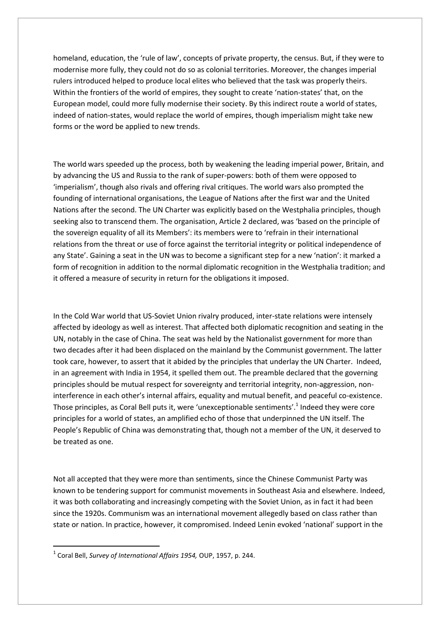homeland, education, the 'rule of law', concepts of private property, the census. But, if they were to modernise more fully, they could not do so as colonial territories. Moreover, the changes imperial rulers introduced helped to produce local elites who believed that the task was properly theirs. Within the frontiers of the world of empires, they sought to create 'nation-states' that, on the European model, could more fully modernise their society. By this indirect route a world of states, indeed of nation-states, would replace the world of empires, though imperialism might take new forms or the word be applied to new trends.

The world wars speeded up the process, both by weakening the leading imperial power, Britain, and by advancing the US and Russia to the rank of super-powers: both of them were opposed to 'imperialism', though also rivals and offering rival critiques. The world wars also prompted the founding of international organisations, the League of Nations after the first war and the United Nations after the second. The UN Charter was explicitly based on the Westphalia principles, though seeking also to transcend them. The organisation, Article 2 declared, was 'based on the principle of the sovereign equality of all its Members': its members were to 'refrain in their international relations from the threat or use of force against the territorial integrity or political independence of any State'. Gaining a seat in the UN was to become a significant step for a new 'nation': it marked a form of recognition in addition to the normal diplomatic recognition in the Westphalia tradition; and it offered a measure of security in return for the obligations it imposed.

In the Cold War world that US-Soviet Union rivalry produced, inter-state relations were intensely affected by ideology as well as interest. That affected both diplomatic recognition and seating in the UN, notably in the case of China. The seat was held by the Nationalist government for more than two decades after it had been displaced on the mainland by the Communist government. The latter took care, however, to assert that it abided by the principles that underlay the UN Charter. Indeed, in an agreement with India in 1954, it spelled them out. The preamble declared that the governing principles should be mutual respect for sovereignty and territorial integrity, non-aggression, noninterference in each other's internal affairs, equality and mutual benefit, and peaceful co-existence. Those principles, as Coral Bell puts it, were 'unexceptionable sentiments'.<sup>1</sup> Indeed they were core principles for a world of states, an amplified echo of those that underpinned the UN itself. The People's Republic of China was demonstrating that, though not a member of the UN, it deserved to be treated as one.

Not all accepted that they were more than sentiments, since the Chinese Communist Party was known to be tendering support for communist movements in Southeast Asia and elsewhere. Indeed, it was both collaborating and increasingly competing with the Soviet Union, as in fact it had been since the 1920s. Communism was an international movement allegedly based on class rather than state or nation. In practice, however, it compromised. Indeed Lenin evoked 'national' support in the

**.** 

<sup>1</sup> Coral Bell, *Survey of International Affairs 1954,* OUP, 1957, p. 244.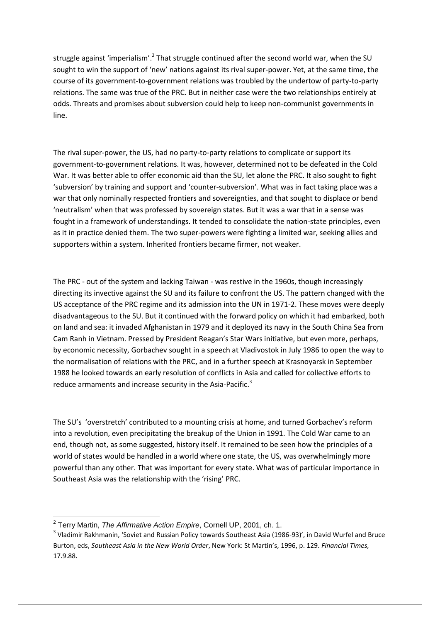struggle against 'imperialism'.<sup>2</sup> That struggle continued after the second world war, when the SU sought to win the support of 'new' nations against its rival super-power. Yet, at the same time, the course of its government-to-government relations was troubled by the undertow of party-to-party relations. The same was true of the PRC. But in neither case were the two relationships entirely at odds. Threats and promises about subversion could help to keep non-communist governments in line.

The rival super-power, the US, had no party-to-party relations to complicate or support its government-to-government relations. It was, however, determined not to be defeated in the Cold War. It was better able to offer economic aid than the SU, let alone the PRC. It also sought to fight 'subversion' by training and support and 'counter-subversion'. What was in fact taking place was a war that only nominally respected frontiers and sovereignties, and that sought to displace or bend 'neutralism' when that was professed by sovereign states. But it was a war that in a sense was fought in a framework of understandings. It tended to consolidate the nation-state principles, even as it in practice denied them. The two super-powers were fighting a limited war, seeking allies and supporters within a system. Inherited frontiers became firmer, not weaker.

The PRC - out of the system and lacking Taiwan - was restive in the 1960s, though increasingly directing its invective against the SU and its failure to confront the US. The pattern changed with the US acceptance of the PRC regime and its admission into the UN in 1971-2. These moves were deeply disadvantageous to the SU. But it continued with the forward policy on which it had embarked, both on land and sea: it invaded Afghanistan in 1979 and it deployed its navy in the South China Sea from Cam Ranh in Vietnam. Pressed by President Reagan's Star Wars initiative, but even more, perhaps, by economic necessity, Gorbachev sought in a speech at Vladivostok in July 1986 to open the way to the normalisation of relations with the PRC, and in a further speech at Krasnoyarsk in September 1988 he looked towards an early resolution of conflicts in Asia and called for collective efforts to reduce armaments and increase security in the Asia-Pacific.<sup>3</sup>

The SU's 'overstretch' contributed to a mounting crisis at home, and turned Gorbachev's reform into a revolution, even precipitating the breakup of the Union in 1991. The Cold War came to an end, though not, as some suggested, history itself. It remained to be seen how the principles of a world of states would be handled in a world where one state, the US, was overwhelmingly more powerful than any other. That was important for every state. What was of particular importance in Southeast Asia was the relationship with the 'rising' PRC.

 2 Terry Martin, *The Affirmative Action Empire*, Cornell UP, 2001, ch. 1.

<sup>&</sup>lt;sup>3</sup> Vladimir Rakhmanin, 'Soviet and Russian Policy towards Southeast Asia (1986-93)', in David Wurfel and Bruce Burton, eds, *Southeast Asia in the New World Order*, New York: St Martin's, 1996, p. 129. *Financial Times,*  17.9.88.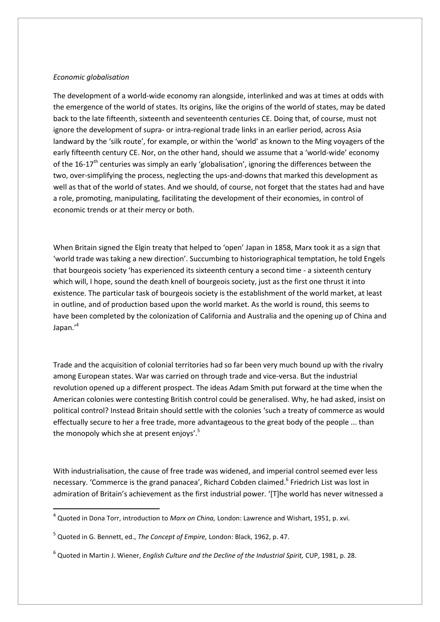# *Economic globalisation*

The development of a world-wide economy ran alongside, interlinked and was at times at odds with the emergence of the world of states. Its origins, like the origins of the world of states, may be dated back to the late fifteenth, sixteenth and seventeenth centuries CE. Doing that, of course, must not ignore the development of supra- or intra-regional trade links in an earlier period, across Asia landward by the 'silk route', for example, or within the 'world' as known to the Ming voyagers of the early fifteenth century CE. Nor, on the other hand, should we assume that a 'world-wide' economy of the 16-17<sup>th</sup> centuries was simply an early 'globalisation', ignoring the differences between the two, over-simplifying the process, neglecting the ups-and-downs that marked this development as well as that of the world of states. And we should, of course, not forget that the states had and have a role, promoting, manipulating, facilitating the development of their economies, in control of economic trends or at their mercy or both.

When Britain signed the Elgin treaty that helped to 'open' Japan in 1858, Marx took it as a sign that 'world trade was taking a new direction'. Succumbing to historiographical temptation, he told Engels that bourgeois society 'has experienced its sixteenth century a second time - a sixteenth century which will, I hope, sound the death knell of bourgeois society, just as the first one thrust it into existence. The particular task of bourgeois society is the establishment of the world market, at least in outline, and of production based upon the world market. As the world is round, this seems to have been completed by the colonization of California and Australia and the opening up of China and Japan.'<sup>4</sup>

Trade and the acquisition of colonial territories had so far been very much bound up with the rivalry among European states. War was carried on through trade and vice-versa. But the industrial revolution opened up a different prospect. The ideas Adam Smith put forward at the time when the American colonies were contesting British control could be generalised. Why, he had asked, insist on political control? Instead Britain should settle with the colonies 'such a treaty of commerce as would effectually secure to her a free trade, more advantageous to the great body of the people ... than the monopoly which she at present enjoys'.<sup>5</sup>

With industrialisation, the cause of free trade was widened, and imperial control seemed ever less necessary. 'Commerce is the grand panacea', Richard Cobden claimed.<sup>6</sup> Friedrich List was lost in admiration of Britain's achievement as the first industrial power. '[T]he world has never witnessed a

**.** 

<sup>4</sup> Quoted in Dona Torr, introduction to *Marx on China,* London: Lawrence and Wishart, 1951, p. xvi.

<sup>5</sup> Quoted in G. Bennett, ed., *The Concept of Empire,* London: Black, 1962, p. 47.

<sup>6</sup> Quoted in Martin J. Wiener, *English Culture and the Decline of the Industrial Spirit,* CUP, 1981, p. 28.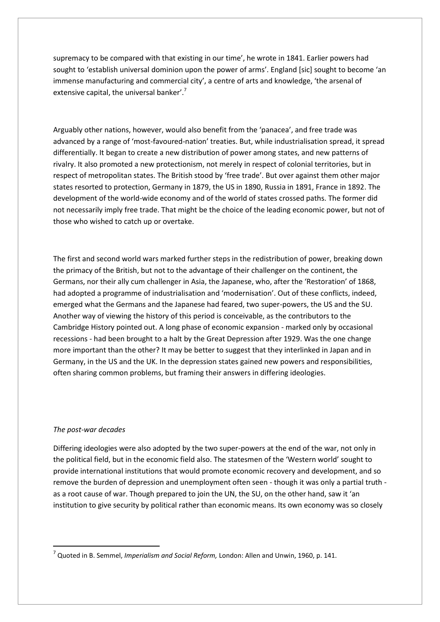supremacy to be compared with that existing in our time', he wrote in 1841. Earlier powers had sought to 'establish universal dominion upon the power of arms'. England [sic] sought to become 'an immense manufacturing and commercial city', a centre of arts and knowledge, 'the arsenal of extensive capital, the universal banker'.<sup>7</sup>

Arguably other nations, however, would also benefit from the 'panacea', and free trade was advanced by a range of 'most-favoured-nation' treaties. But, while industrialisation spread, it spread differentially. It began to create a new distribution of power among states, and new patterns of rivalry. It also promoted a new protectionism, not merely in respect of colonial territories, but in respect of metropolitan states. The British stood by 'free trade'. But over against them other major states resorted to protection, Germany in 1879, the US in 1890, Russia in 1891, France in 1892. The development of the world-wide economy and of the world of states crossed paths. The former did not necessarily imply free trade. That might be the choice of the leading economic power, but not of those who wished to catch up or overtake.

The first and second world wars marked further steps in the redistribution of power, breaking down the primacy of the British, but not to the advantage of their challenger on the continent, the Germans, nor their ally cum challenger in Asia, the Japanese, who, after the 'Restoration' of 1868, had adopted a programme of industrialisation and 'modernisation'. Out of these conflicts, indeed, emerged what the Germans and the Japanese had feared, two super-powers, the US and the SU. Another way of viewing the history of this period is conceivable, as the contributors to the Cambridge History pointed out. A long phase of economic expansion - marked only by occasional recessions - had been brought to a halt by the Great Depression after 1929. Was the one change more important than the other? It may be better to suggest that they interlinked in Japan and in Germany, in the US and the UK. In the depression states gained new powers and responsibilities, often sharing common problems, but framing their answers in differing ideologies.

#### *The post-war decades*

**.** 

Differing ideologies were also adopted by the two super-powers at the end of the war, not only in the political field, but in the economic field also. The statesmen of the 'Western world' sought to provide international institutions that would promote economic recovery and development, and so remove the burden of depression and unemployment often seen - though it was only a partial truth as a root cause of war. Though prepared to join the UN, the SU, on the other hand, saw it 'an institution to give security by political rather than economic means. Its own economy was so closely

<sup>7</sup> Quoted in B. Semmel, *Imperialism and Social Reform,* London: Allen and Unwin, 1960, p. 141.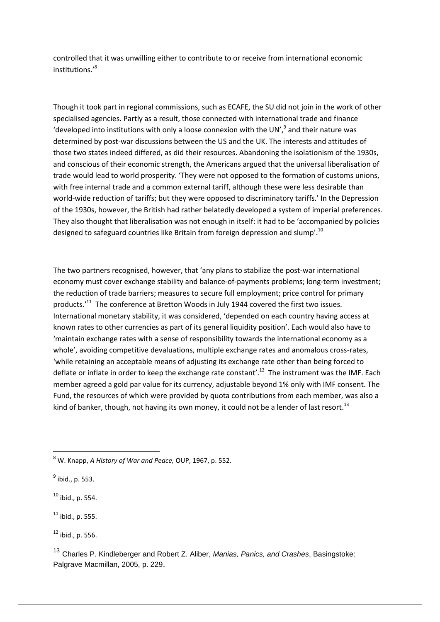controlled that it was unwilling either to contribute to or receive from international economic institutions.'<sup>8</sup>

Though it took part in regional commissions, such as ECAFE, the SU did not join in the work of other specialised agencies. Partly as a result, those connected with international trade and finance 'developed into institutions with only a loose connexion with the UN', $9$  and their nature was determined by post-war discussions between the US and the UK. The interests and attitudes of those two states indeed differed, as did their resources. Abandoning the isolationism of the 1930s, and conscious of their economic strength, the Americans argued that the universal liberalisation of trade would lead to world prosperity. 'They were not opposed to the formation of customs unions, with free internal trade and a common external tariff, although these were less desirable than world-wide reduction of tariffs; but they were opposed to discriminatory tariffs.' In the Depression of the 1930s, however, the British had rather belatedly developed a system of imperial preferences. They also thought that liberalisation was not enough in itself: it had to be 'accompanied by policies designed to safeguard countries like Britain from foreign depression and slump'.<sup>10</sup>

The two partners recognised, however, that 'any plans to stabilize the post-war international economy must cover exchange stability and balance-of-payments problems; long-term investment; the reduction of trade barriers; measures to secure full employment; price control for primary products.<sup>'11</sup> The conference at Bretton Woods in July 1944 covered the first two issues. International monetary stability, it was considered, 'depended on each country having access at known rates to other currencies as part of its general liquidity position'. Each would also have to 'maintain exchange rates with a sense of responsibility towards the international economy as a whole', avoiding competitive devaluations, multiple exchange rates and anomalous cross-rates, 'while retaining an acceptable means of adjusting its exchange rate other than being forced to deflate or inflate in order to keep the exchange rate constant'.<sup>12</sup> The instrument was the IMF. Each member agreed a gold par value for its currency, adjustable beyond 1% only with IMF consent. The Fund, the resources of which were provided by quota contributions from each member, was also a kind of banker, though, not having its own money, it could not be a lender of last resort.<sup>13</sup>

**.** 

<sup>13</sup> Charles P. Kindleberger and Robert Z. Aliber, *Manias, Panics, and Crashes*, Basingstoke: Palgrave Macmillan, 2005, p. 229.

<sup>8</sup> W. Knapp, *A History of War and Peace,* OUP, 1967, p. 552.

 $^9$  ibid., p. 553.

 $10$  ibid., p. 554.

 $11$  ibid., p. 555.

 $12$  ibid., p. 556.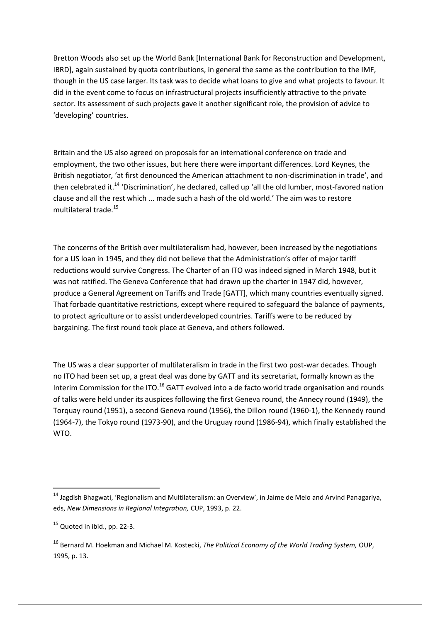Bretton Woods also set up the World Bank [International Bank for Reconstruction and Development, IBRD], again sustained by quota contributions, in general the same as the contribution to the IMF, though in the US case larger. Its task was to decide what loans to give and what projects to favour. It did in the event come to focus on infrastructural projects insufficiently attractive to the private sector. Its assessment of such projects gave it another significant role, the provision of advice to 'developing' countries.

Britain and the US also agreed on proposals for an international conference on trade and employment, the two other issues, but here there were important differences. Lord Keynes, the British negotiator, 'at first denounced the American attachment to non-discrimination in trade', and then celebrated it.<sup>14</sup> 'Discrimination', he declared, called up 'all the old lumber, most-favored nation clause and all the rest which ... made such a hash of the old world.' The aim was to restore multilateral trade.<sup>15</sup>

The concerns of the British over multilateralism had, however, been increased by the negotiations for a US loan in 1945, and they did not believe that the Administration's offer of major tariff reductions would survive Congress. The Charter of an ITO was indeed signed in March 1948, but it was not ratified. The Geneva Conference that had drawn up the charter in 1947 did, however, produce a General Agreement on Tariffs and Trade [GATT], which many countries eventually signed. That forbade quantitative restrictions, except where required to safeguard the balance of payments, to protect agriculture or to assist underdeveloped countries. Tariffs were to be reduced by bargaining. The first round took place at Geneva, and others followed.

The US was a clear supporter of multilateralism in trade in the first two post-war decades. Though no ITO had been set up, a great deal was done by GATT and its secretariat, formally known as the Interim Commission for the ITO.<sup>16</sup> GATT evolved into a de facto world trade organisation and rounds of talks were held under its auspices following the first Geneva round, the Annecy round (1949), the Torquay round (1951), a second Geneva round (1956), the Dillon round (1960-1), the Kennedy round (1964-7), the Tokyo round (1973-90), and the Uruguay round (1986-94), which finally established the WTO.

1

 $14$  Jagdish Bhagwati, 'Regionalism and Multilateralism: an Overview', in Jaime de Melo and Arvind Panagariya, eds, *New Dimensions in Regional Integration,* CUP, 1993, p. 22.

 $15$  Quoted in ibid., pp. 22-3.

<sup>16</sup> Bernard M. Hoekman and Michael M. Kostecki, *The Political Economy of the World Trading System,* OUP, 1995, p. 13.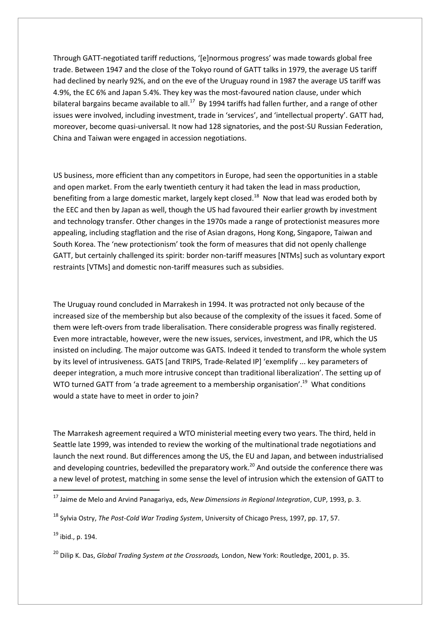Through GATT-negotiated tariff reductions, '[e]normous progress' was made towards global free trade. Between 1947 and the close of the Tokyo round of GATT talks in 1979, the average US tariff had declined by nearly 92%, and on the eve of the Uruguay round in 1987 the average US tariff was 4.9%, the EC 6% and Japan 5.4%. They key was the most-favoured nation clause, under which bilateral bargains became available to all.<sup>17</sup> By 1994 tariffs had fallen further, and a range of other issues were involved, including investment, trade in 'services', and 'intellectual property'. GATT had, moreover, become quasi-universal. It now had 128 signatories, and the post-SU Russian Federation, China and Taiwan were engaged in accession negotiations.

US business, more efficient than any competitors in Europe, had seen the opportunities in a stable and open market. From the early twentieth century it had taken the lead in mass production, benefiting from a large domestic market, largely kept closed.<sup>18</sup> Now that lead was eroded both by the EEC and then by Japan as well, though the US had favoured their earlier growth by investment and technology transfer. Other changes in the 1970s made a range of protectionist measures more appealing, including stagflation and the rise of Asian dragons, Hong Kong, Singapore, Taiwan and South Korea. The 'new protectionism' took the form of measures that did not openly challenge GATT, but certainly challenged its spirit: border non-tariff measures [NTMs] such as voluntary export restraints [VTMs] and domestic non-tariff measures such as subsidies.

The Uruguay round concluded in Marrakesh in 1994. It was protracted not only because of the increased size of the membership but also because of the complexity of the issues it faced. Some of them were left-overs from trade liberalisation. There considerable progress was finally registered. Even more intractable, however, were the new issues, services, investment, and IPR, which the US insisted on including. The major outcome was GATS. Indeed it tended to transform the whole system by its level of intrusiveness. GATS [and TRIPS, Trade-Related IP] 'exemplify ... key parameters of deeper integration, a much more intrusive concept than traditional liberalization'. The setting up of WTO turned GATT from 'a trade agreement to a membership organisation'.<sup>19</sup> What conditions would a state have to meet in order to join?

The Marrakesh agreement required a WTO ministerial meeting every two years. The third, held in Seattle late 1999, was intended to review the working of the multinational trade negotiations and launch the next round. But differences among the US, the EU and Japan, and between industrialised and developing countries, bedevilled the preparatory work.<sup>20</sup> And outside the conference there was a new level of protest, matching in some sense the level of intrusion which the extension of GATT to

**.** 

<sup>17</sup> Jaime de Melo and Arvind Panagariya, eds, *New Dimensions in Regional Integration*, CUP, 1993, p. 3.

<sup>18</sup> Sylvia Ostry, *The Post-Cold War Trading System*, University of Chicago Press, 1997, pp. 17, 57.

 $19$  ibid., p. 194.

<sup>20</sup> Dilip K. Das, *Global Trading System at the Crossroads,* London, New York: Routledge, 2001, p. 35.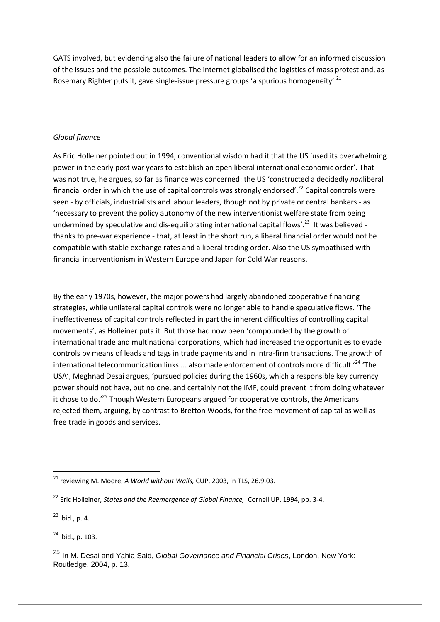GATS involved, but evidencing also the failure of national leaders to allow for an informed discussion of the issues and the possible outcomes. The internet globalised the logistics of mass protest and, as Rosemary Righter puts it, gave single-issue pressure groups 'a spurious homogeneity'.<sup>21</sup>

# *Global finance*

As Eric Holleiner pointed out in 1994, conventional wisdom had it that the US 'used its overwhelming power in the early post war years to establish an open liberal international economic order'. That was not true, he argues, so far as finance was concerned: the US 'constructed a decidedly *non*liberal financial order in which the use of capital controls was strongly endorsed'.<sup>22</sup> Capital controls were seen - by officials, industrialists and labour leaders, though not by private or central bankers - as 'necessary to prevent the policy autonomy of the new interventionist welfare state from being undermined by speculative and dis-equilibrating international capital flows'.<sup>23</sup> It was believed thanks to pre-war experience - that, at least in the short run, a liberal financial order would not be compatible with stable exchange rates and a liberal trading order. Also the US sympathised with financial interventionism in Western Europe and Japan for Cold War reasons.

By the early 1970s, however, the major powers had largely abandoned cooperative financing strategies, while unilateral capital controls were no longer able to handle speculative flows. 'The ineffectiveness of capital controls reflected in part the inherent difficulties of controlling capital movements', as Holleiner puts it. But those had now been 'compounded by the growth of international trade and multinational corporations, which had increased the opportunities to evade controls by means of leads and tags in trade payments and in intra-firm transactions. The growth of international telecommunication links ... also made enforcement of controls more difficult.<sup>'24</sup> 'The USA', Meghnad Desai argues, 'pursued policies during the 1960s, which a responsible key currency power should not have, but no one, and certainly not the IMF, could prevent it from doing whatever it chose to do.<sup>'25</sup> Though Western Europeans argued for cooperative controls, the Americans rejected them, arguing, by contrast to Bretton Woods, for the free movement of capital as well as free trade in goods and services.

 $23$  ibid., p. 4.

1

 $^{24}$  ibid., p. 103.

<sup>21</sup> reviewing M. Moore, *A World without Walls,* CUP, 2003, in TLS, 26.9.03.

<sup>22</sup> Eric Holleiner, *States and the Reemergence of Global Finance,* Cornell UP, 1994, pp. 3-4.

<sup>25</sup> In M. Desai and Yahia Said, *Global Governance and Financial Crises*, London, New York: Routledge, 2004, p. 13.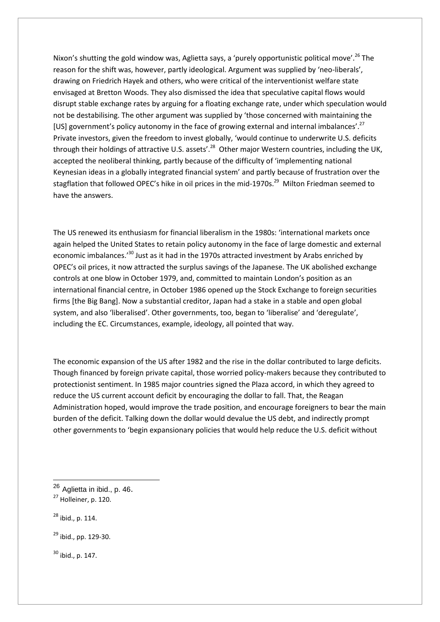Nixon's shutting the gold window was, Aglietta says, a 'purely opportunistic political move'.<sup>26</sup> The reason for the shift was, however, partly ideological. Argument was supplied by 'neo-liberals', drawing on Friedrich Hayek and others, who were critical of the interventionist welfare state envisaged at Bretton Woods. They also dismissed the idea that speculative capital flows would disrupt stable exchange rates by arguing for a floating exchange rate, under which speculation would not be destabilising. The other argument was supplied by 'those concerned with maintaining the [US] government's policy autonomy in the face of growing external and internal imbalances'.<sup>27</sup> Private investors, given the freedom to invest globally, 'would continue to underwrite U.S. deficits through their holdings of attractive U.S. assets'.<sup>28</sup> Other major Western countries, including the UK, accepted the neoliberal thinking, partly because of the difficulty of 'implementing national Keynesian ideas in a globally integrated financial system' and partly because of frustration over the stagflation that followed OPEC's hike in oil prices in the mid-1970s.<sup>29</sup> Milton Friedman seemed to have the answers.

The US renewed its enthusiasm for financial liberalism in the 1980s: 'international markets once again helped the United States to retain policy autonomy in the face of large domestic and external economic imbalances.'<sup>30</sup> Just as it had in the 1970s attracted investment by Arabs enriched by OPEC's oil prices, it now attracted the surplus savings of the Japanese. The UK abolished exchange controls at one blow in October 1979, and, committed to maintain London's position as an international financial centre, in October 1986 opened up the Stock Exchange to foreign securities firms [the Big Bang]. Now a substantial creditor, Japan had a stake in a stable and open global system, and also 'liberalised'. Other governments, too, began to 'liberalise' and 'deregulate', including the EC. Circumstances, example, ideology, all pointed that way.

The economic expansion of the US after 1982 and the rise in the dollar contributed to large deficits. Though financed by foreign private capital, those worried policy-makers because they contributed to protectionist sentiment. In 1985 major countries signed the Plaza accord, in which they agreed to reduce the US current account deficit by encouraging the dollar to fall. That, the Reagan Administration hoped, would improve the trade position, and encourage foreigners to bear the main burden of the deficit. Talking down the dollar would devalue the US debt, and indirectly prompt other governments to 'begin expansionary policies that would help reduce the U.S. deficit without

 $28$  ibid., p. 114.

**.** 

<sup>29</sup> ibid., pp. 129-30.

 $30$  ibid., p. 147.

<sup>&</sup>lt;sup>26</sup> Aglietta in ibid., p. 46. <sup>27</sup> Holleiner, p. 120.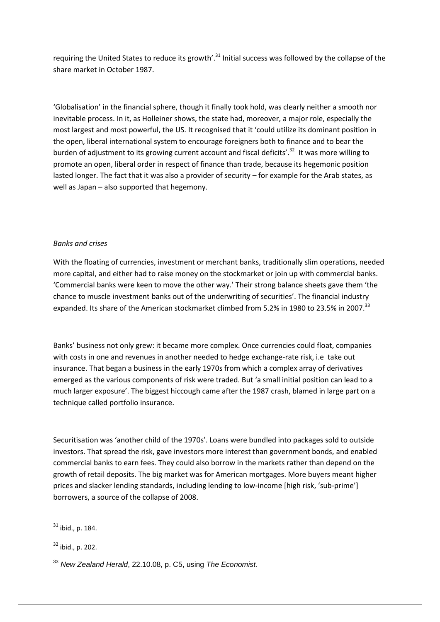requiring the United States to reduce its growth'.<sup>31</sup> Initial success was followed by the collapse of the share market in October 1987.

'Globalisation' in the financial sphere, though it finally took hold, was clearly neither a smooth nor inevitable process. In it, as Holleiner shows, the state had, moreover, a major role, especially the most largest and most powerful, the US. It recognised that it 'could utilize its dominant position in the open, liberal international system to encourage foreigners both to finance and to bear the burden of adjustment to its growing current account and fiscal deficits'.<sup>32</sup> It was more willing to promote an open, liberal order in respect of finance than trade, because its hegemonic position lasted longer. The fact that it was also a provider of security – for example for the Arab states, as well as Japan – also supported that hegemony.

# *Banks and crises*

With the floating of currencies, investment or merchant banks, traditionally slim operations, needed more capital, and either had to raise money on the stockmarket or join up with commercial banks. 'Commercial banks were keen to move the other way.' Their strong balance sheets gave them 'the chance to muscle investment banks out of the underwriting of securities'. The financial industry expanded. Its share of the American stockmarket climbed from 5.2% in 1980 to 23.5% in 2007.<sup>33</sup>

Banks' business not only grew: it became more complex. Once currencies could float, companies with costs in one and revenues in another needed to hedge exchange-rate risk, i.e take out insurance. That began a business in the early 1970s from which a complex array of derivatives emerged as the various components of risk were traded. But 'a small initial position can lead to a much larger exposure'. The biggest hiccough came after the 1987 crash, blamed in large part on a technique called portfolio insurance.

Securitisation was 'another child of the 1970s'. Loans were bundled into packages sold to outside investors. That spread the risk, gave investors more interest than government bonds, and enabled commercial banks to earn fees. They could also borrow in the markets rather than depend on the growth of retail deposits. The big market was for American mortgages. More buyers meant higher prices and slacker lending standards, including lending to low-income [high risk, 'sub-prime'] borrowers, a source of the collapse of 2008.

**.** 

 $31$  ibid., p. 184.

 $32$  ibid., p. 202.

<sup>33</sup> *New Zealand Herald*, 22.10.08, p. C5, using *The Economist.*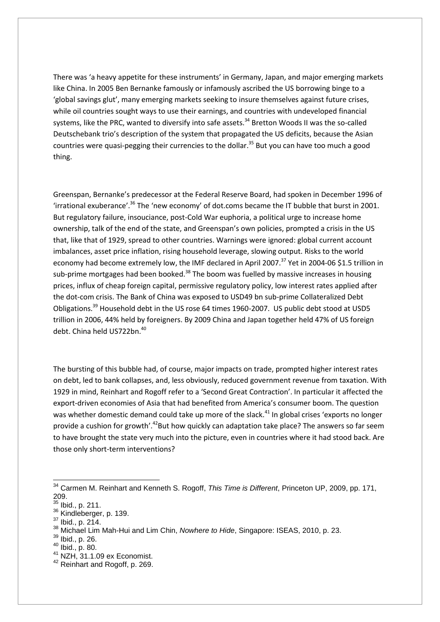There was 'a heavy appetite for these instruments' in Germany, Japan, and major emerging markets like China. In 2005 Ben Bernanke famously or infamously ascribed the US borrowing binge to a 'global savings glut', many emerging markets seeking to insure themselves against future crises, while oil countries sought ways to use their earnings, and countries with undeveloped financial systems, like the PRC, wanted to diversify into safe assets.<sup>34</sup> Bretton Woods II was the so-called Deutschebank trio's description of the system that propagated the US deficits, because the Asian countries were quasi-pegging their currencies to the dollar.<sup>35</sup> But you can have too much a good thing.

Greenspan, Bernanke's predecessor at the Federal Reserve Board, had spoken in December 1996 of 'irrational exuberance'.<sup>36</sup> The 'new economy' of dot.coms became the IT bubble that burst in 2001. But regulatory failure, insouciance, post-Cold War euphoria, a political urge to increase home ownership, talk of the end of the state, and Greenspan's own policies, prompted a crisis in the US that, like that of 1929, spread to other countries. Warnings were ignored: global current account imbalances, asset price inflation, rising household leverage, slowing output. Risks to the world economy had become extremely low, the IMF declared in April 2007.<sup>37</sup> Yet in 2004-06 \$1.5 trillion in sub-prime mortgages had been booked. $38$  The boom was fuelled by massive increases in housing prices, influx of cheap foreign capital, permissive regulatory policy, low interest rates applied after the dot-com crisis. The Bank of China was exposed to USD49 bn sub-prime Collateralized Debt Obligations.<sup>39</sup> Household debt in the US rose 64 times 1960-2007. US public debt stood at USD5 trillion in 2006, 44% held by foreigners. By 2009 China and Japan together held 47% of US foreign debt. China held US722bn.<sup>40</sup>

The bursting of this bubble had, of course, major impacts on trade, prompted higher interest rates on debt, led to bank collapses, and, less obviously, reduced government revenue from taxation. With 1929 in mind, Reinhart and Rogoff refer to a 'Second Great Contraction'. In particular it affected the export-driven economies of Asia that had benefited from America's consumer boom. The question was whether domestic demand could take up more of the slack.<sup>41</sup> In global crises 'exports no longer provide a cushion for growth'.<sup>42</sup>But how quickly can adaptation take place? The answers so far seem to have brought the state very much into the picture, even in countries where it had stood back. Are those only short-term interventions?

 $\overline{\phantom{a}}$ 

<sup>34</sup> Carmen M. Reinhart and Kenneth S. Rogoff, *This Time is Different*, Princeton UP, 2009, pp. 171, 209.

<sup>35</sup> Ibid., p. 211.

<sup>36</sup> Kindleberger, p. 139.

<sup>37</sup> Ibid., p. 214.

<sup>&</sup>lt;sup>38</sup> Michael Lim Mah-Hui and Lim Chin, *Nowhere to Hide*, Singapore: ISEAS, 2010, p. 23.

<sup>39</sup> Ibid., p. 26.

<sup>40</sup> Ibid., p. 80.

<sup>41</sup> NZH, 31.1.09 ex Economist.

<sup>42</sup> Reinhart and Rogoff, p. 269.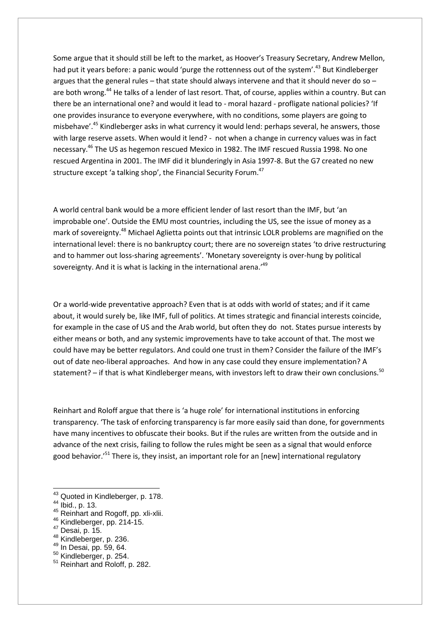Some argue that it should still be left to the market, as Hoover's Treasury Secretary, Andrew Mellon, had put it years before: a panic would 'purge the rottenness out of the system'.<sup>43</sup> But Kindleberger argues that the general rules – that state should always intervene and that it should never do so – are both wrong.<sup>44</sup> He talks of a lender of last resort. That, of course, applies within a country. But can there be an international one? and would it lead to - moral hazard - profligate national policies? 'If one provides insurance to everyone everywhere, with no conditions, some players are going to misbehave'.<sup>45</sup> Kindleberger asks in what currency it would lend: perhaps several, he answers, those with large reserve assets. When would it lend? - not when a change in currency values was in fact necessary.<sup>46</sup> The US as hegemon rescued Mexico in 1982. The IMF rescued Russia 1998. No one rescued Argentina in 2001. The IMF did it blunderingly in Asia 1997-8. But the G7 created no new structure except 'a talking shop', the Financial Security Forum.<sup>47</sup>

A world central bank would be a more efficient lender of last resort than the IMF, but 'an improbable one'. Outside the EMU most countries, including the US, see the issue of money as a mark of sovereignty.<sup>48</sup> Michael Aglietta points out that intrinsic LOLR problems are magnified on the international level: there is no bankruptcy court; there are no sovereign states 'to drive restructuring and to hammer out loss-sharing agreements'. 'Monetary sovereignty is over-hung by political sovereignty. And it is what is lacking in the international arena.<sup>149</sup>

Or a world-wide preventative approach? Even that is at odds with world of states; and if it came about, it would surely be, like IMF, full of politics. At times strategic and financial interests coincide, for example in the case of US and the Arab world, but often they do not. States pursue interests by either means or both, and any systemic improvements have to take account of that. The most we could have may be better regulators. And could one trust in them? Consider the failure of the IMF's out of date neo-liberal approaches. And how in any case could they ensure implementation? A statement? – if that is what Kindleberger means, with investors left to draw their own conclusions.<sup>50</sup>

Reinhart and Roloff argue that there is 'a huge role' for international institutions in enforcing transparency. 'The task of enforcing transparency is far more easily said than done, for governments have many incentives to obfuscate their books. But if the rules are written from the outside and in advance of the next crisis, failing to follow the rules might be seen as a signal that would enforce good behavior.<sup>51</sup> There is, they insist, an important role for an [new] international regulatory

 $\overline{\phantom{a}}$ 

<sup>&</sup>lt;sup>43</sup> Quoted in Kindleberger, p. 178.

<sup>44</sup> Ibid., p. 13.

<sup>45</sup> Reinhart and Rogoff, pp. xli-xlii.

<sup>46</sup> Kindleberger, pp. 214-15.

<sup>47</sup> Desai, p. 15.

<sup>48</sup> Kindleberger, p. 236.

<sup>49</sup> In Desai, pp. 59, 64.

<sup>50</sup> Kindleberger, p. 254.

<sup>51</sup> Reinhart and Roloff, p. 282.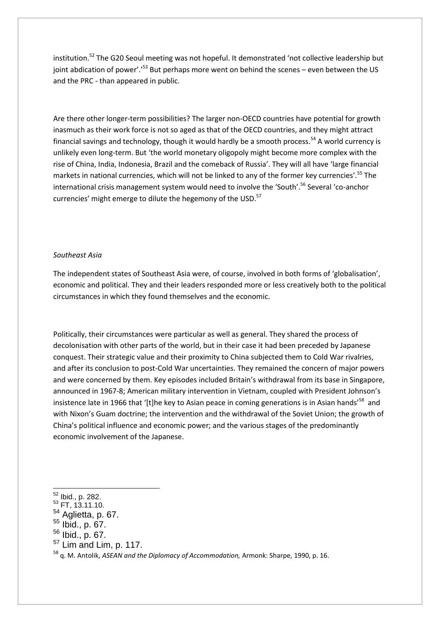institution.<sup>52</sup> The G20 Seoul meeting was not hopeful. It demonstrated 'not collective leadership but joint abdication of power'.<sup>'53</sup> But perhaps more went on behind the scenes – even between the US and the PRC - than appeared in public.

Are there other longer-term possibilities? The larger non-OECD countries have potential for growth inasmuch as their work force is not so aged as that of the OECD countries, and they might attract financial savings and technology, though it would hardly be a smooth process.<sup>54</sup> A world currency is unlikely even long-term. But 'the world monetary oligopoly might become more complex with the rise of China, India, Indonesia, Brazil and the comeback of Russia'. They will all have 'large financial markets in national currencies, which will not be linked to any of the former key currencies'.<sup>55</sup> The international crisis management system would need to involve the 'South'.<sup>56</sup> Several 'co-anchor currencies' might emerge to dilute the hegemony of the USD.<sup>57</sup>

#### *Southeast Asia*

The independent states of Southeast Asia were, of course, involved in both forms of 'globalisation', economic and political. They and their leaders responded more or less creatively both to the political circumstances in which they found themselves and the economic.

Politically, their circumstances were particular as well as general. They shared the process of decolonisation with other parts of the world, but in their case it had been preceded by Japanese conquest. Their strategic value and their proximity to China subjected them to Cold War rivalries, and after its conclusion to post-Cold War uncertainties. They remained the concern of major powers and were concerned by them. Key episodes included Britain's withdrawal from its base in Singapore, announced in 1967-8; American military intervention in Vietnam, coupled with President Johnson's insistence late in 1966 that '[t]he key to Asian peace in coming generations is in Asian hands'<sup>58</sup> and with Nixon's Guam doctrine; the intervention and the withdrawal of the Soviet Union; the growth of China's political influence and economic power; and the various stages of the predominantly economic involvement of the Japanese.

 $\overline{a}$ 

<sup>&</sup>lt;sup>52</sup> Ibid., p. 282.

 $53$  FT, 13.11.10.

<sup>54</sup> Aglietta, p. 67.

<sup>55</sup> Ibid., p. 67.

<sup>56</sup> Ibid., p. 67.

 $57$  Lim and Lim, p. 117.

<sup>58</sup> q. M. Antolik, *ASEAN and the Diplomacy of Accommodation,* Armonk: Sharpe, 1990, p. 16.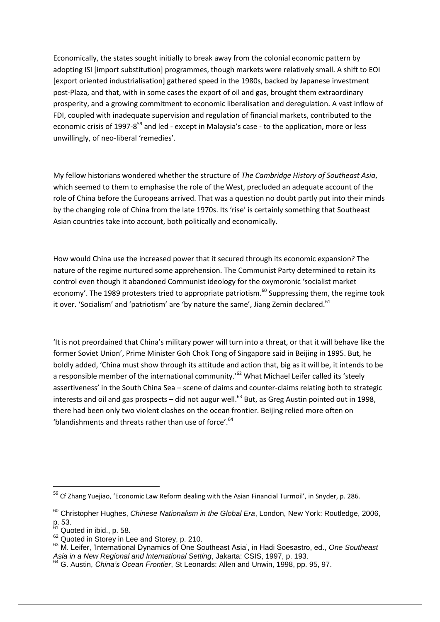Economically, the states sought initially to break away from the colonial economic pattern by adopting ISI [import substitution] programmes, though markets were relatively small. A shift to EOI [export oriented industrialisation] gathered speed in the 1980s, backed by Japanese investment post-Plaza, and that, with in some cases the export of oil and gas, brought them extraordinary prosperity, and a growing commitment to economic liberalisation and deregulation. A vast inflow of FDI, coupled with inadequate supervision and regulation of financial markets, contributed to the economic crisis of 1997-8<sup>59</sup> and led - except in Malaysia's case - to the application, more or less unwillingly, of neo-liberal 'remedies'.

My fellow historians wondered whether the structure of *The Cambridge History of Southeast Asia*, which seemed to them to emphasise the role of the West, precluded an adequate account of the role of China before the Europeans arrived. That was a question no doubt partly put into their minds by the changing role of China from the late 1970s. Its 'rise' is certainly something that Southeast Asian countries take into account, both politically and economically.

How would China use the increased power that it secured through its economic expansion? The nature of the regime nurtured some apprehension. The Communist Party determined to retain its control even though it abandoned Communist ideology for the oxymoronic 'socialist market economy'. The 1989 protesters tried to appropriate patriotism.<sup>60</sup> Suppressing them, the regime took it over. 'Socialism' and 'patriotism' are 'by nature the same', Jiang Zemin declared. $61$ 

'It is not preordained that China's military power will turn into a threat, or that it will behave like the former Soviet Union', Prime Minister Goh Chok Tong of Singapore said in Beijing in 1995. But, he boldly added, 'China must show through its attitude and action that, big as it will be, it intends to be a responsible member of the international community.<sup>62</sup> What Michael Leifer called its 'steely assertiveness' in the South China Sea – scene of claims and counter-claims relating both to strategic interests and oil and gas prospects – did not augur well.<sup>63</sup> But, as Greg Austin pointed out in 1998, there had been only two violent clashes on the ocean frontier. Beijing relied more often on 'blandishments and threats rather than use of force'.<sup>64</sup>

1

<sup>&</sup>lt;sup>59</sup> Cf Zhang Yuejiao, 'Economic Law Reform dealing with the Asian Financial Turmoil', in Snyder, p. 286.

<sup>60</sup> Christopher Hughes, *Chinese Nationalism in the Global Era*, London, New York: Routledge, 2006, p. 53.

Quoted in ibid., p. 58.

 $62$  Quoted in Ibid., p. 55.<br> $62$  Quoted in Storey in Lee and Storey, p. 210.

<sup>63</sup> M. Leifer, 'International Dynamics of One Southeast Asia', in Hadi Soesastro, ed., *One Southeast Asia in a New Regional and International Setting*, Jakarta: CSIS, 1997, p. 193.

<sup>64</sup> G. Austin, *China's Ocean Frontier*, St Leonards: Allen and Unwin, 1998, pp. 95, 97.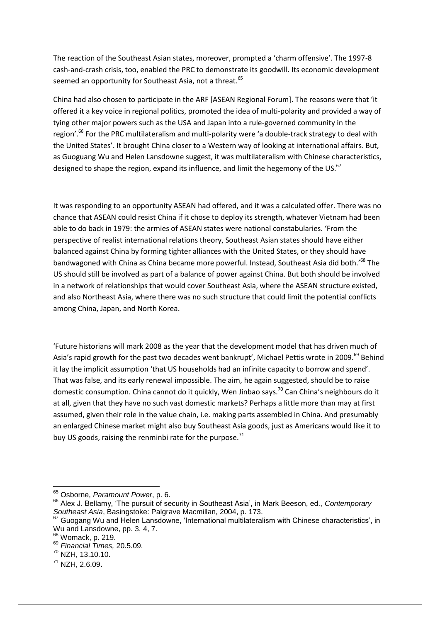The reaction of the Southeast Asian states, moreover, prompted a 'charm offensive'. The 1997-8 cash-and-crash crisis, too, enabled the PRC to demonstrate its goodwill. Its economic development seemed an opportunity for Southeast Asia, not a threat.<sup>65</sup>

China had also chosen to participate in the ARF [ASEAN Regional Forum]. The reasons were that 'it offered it a key voice in regional politics, promoted the idea of multi-polarity and provided a way of tying other major powers such as the USA and Japan into a rule-governed community in the region'.<sup>66</sup> For the PRC multilateralism and multi-polarity were 'a double-track strategy to deal with the United States'. It brought China closer to a Western way of looking at international affairs. But, as Guoguang Wu and Helen Lansdowne suggest, it was multilateralism with Chinese characteristics, designed to shape the region, expand its influence, and limit the hegemony of the US. $^{67}$ 

It was responding to an opportunity ASEAN had offered, and it was a calculated offer. There was no chance that ASEAN could resist China if it chose to deploy its strength, whatever Vietnam had been able to do back in 1979: the armies of ASEAN states were national constabularies. 'From the perspective of realist international relations theory, Southeast Asian states should have either balanced against China by forming tighter alliances with the United States, or they should have bandwagoned with China as China became more powerful. Instead, Southeast Asia did both.<sup>68</sup> The US should still be involved as part of a balance of power against China. But both should be involved in a network of relationships that would cover Southeast Asia, where the ASEAN structure existed, and also Northeast Asia, where there was no such structure that could limit the potential conflicts among China, Japan, and North Korea.

'Future historians will mark 2008 as the year that the development model that has driven much of Asia's rapid growth for the past two decades went bankrupt', Michael Pettis wrote in 2009.<sup>69</sup> Behind it lay the implicit assumption 'that US households had an infinite capacity to borrow and spend'. That was false, and its early renewal impossible. The aim, he again suggested, should be to raise domestic consumption. China cannot do it quickly, Wen Jinbao says.<sup>70</sup> Can China's neighbours do it at all, given that they have no such vast domestic markets? Perhaps a little more than may at first assumed, given their role in the value chain, i.e. making parts assembled in China. And presumably an enlarged Chinese market might also buy Southeast Asia goods, just as Americans would like it to buy US goods, raising the renminbi rate for the purpose. $71$ 

**<sup>.</sup>** <sup>65</sup> Osborne, *Paramount Power*, p. 6.

<sup>66</sup> Alex J. Bellamy, 'The pursuit of security in Southeast Asia', in Mark Beeson, ed., *Contemporary Southeast Asia*, Basingstoke: Palgrave Macmillan, 2004, p. 173.

<sup>&</sup>lt;sup>67</sup> Guogang Wu and Helen Lansdowne, 'International multilateralism with Chinese characteristics', in Wu and Lansdowne, pp. 3, 4, 7.

<sup>68</sup> Womack, p. 219.

<sup>69</sup> *Financial Times,* 20.5.09.

<sup>70</sup> NZH, 13.10.10.

<sup>71</sup> NZH, 2.6.09.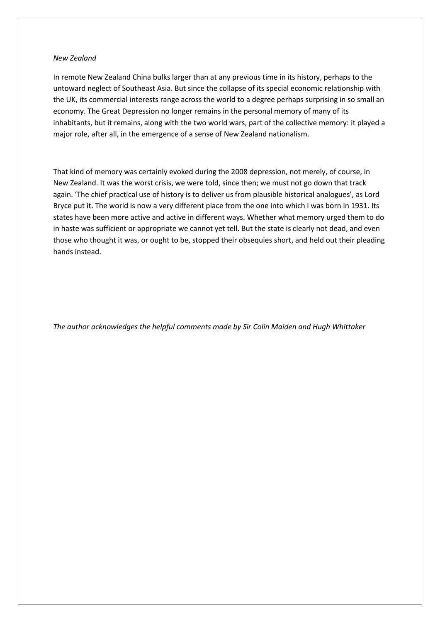#### *New Zealand*

In remote New Zealand China bulks larger than at any previous time in its history, perhaps to the untoward neglect of Southeast Asia. But since the collapse of its special economic relationship with the UK, its commercial interests range across the world to a degree perhaps surprising in so small an economy. The Great Depression no longer remains in the personal memory of many of its inhabitants, but it remains, along with the two world wars, part of the collective memory: it played a major role, after all, in the emergence of a sense of New Zealand nationalism.

That kind of memory was certainly evoked during the 2008 depression, not merely, of course, in New Zealand. It was the worst crisis, we were told, since then; we must not go down that track again. 'The chief practical use of history is to deliver us from plausible historical analogues', as Lord Bryce put it. The world is now a very different place from the one into which I was born in 1931. Its states have been more active and active in different ways. Whether what memory urged them to do in haste was sufficient or appropriate we cannot yet tell. But the state is clearly not dead, and even those who thought it was, or ought to be, stopped their obsequies short, and held out their pleading hands instead.

*The author acknowledges the helpful comments made by Sir Colin Maiden and Hugh Whittaker*